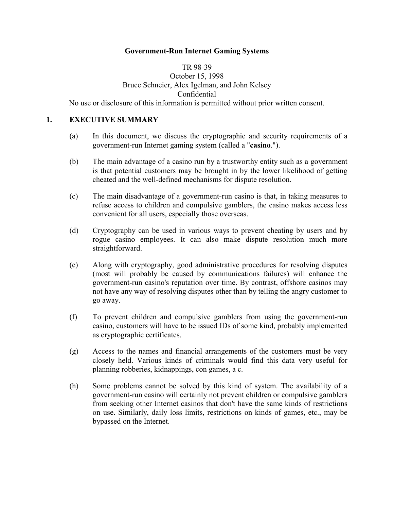#### **Government-Run Internet Gaming Systems**

# TR 98-39 October 15, 1998 Bruce Schneier, Alex Igelman, and John Kelsey Confidential

No use or disclosure of this information is permitted without prior written consent.

#### **1. EXECUTIVE SUMMARY**

- (a) In this document, we discuss the cryptographic and security requirements of a government-run Internet gaming system (called a "**casino**.").
- (b) The main advantage of a casino run by a trustworthy entity such as a government is that potential customers may be brought in by the lower likelihood of getting cheated and the well-defined mechanisms for dispute resolution.
- (c) The main disadvantage of a government-run casino is that, in taking measures to refuse access to children and compulsive gamblers, the casino makes access less convenient for all users, especially those overseas.
- (d) Cryptography can be used in various ways to prevent cheating by users and by rogue casino employees. It can also make dispute resolution much more straightforward.
- (e) Along with cryptography, good administrative procedures for resolving disputes (most will probably be caused by communications failures) will enhance the government-run casino's reputation over time. By contrast, offshore casinos may not have any way of resolving disputes other than by telling the angry customer to go away.
- (f) To prevent children and compulsive gamblers from using the government-run casino, customers will have to be issued IDs of some kind, probably implemented as cryptographic certificates.
- (g) Access to the names and financial arrangements of the customers must be very closely held. Various kinds of criminals would find this data very useful for planning robberies, kidnappings, con games, a c.
- (h) Some problems cannot be solved by this kind of system. The availability of a government-run casino will certainly not prevent children or compulsive gamblers from seeking other Internet casinos that don't have the same kinds of restrictions on use. Similarly, daily loss limits, restrictions on kinds of games, etc., may be bypassed on the Internet.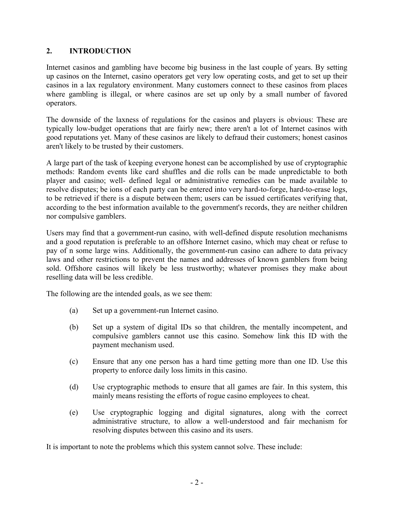# **2. INTRODUCTION**

Internet casinos and gambling have become big business in the last couple of years. By setting up casinos on the Internet, casino operators get very low operating costs, and get to set up their casinos in a lax regulatory environment. Many customers connect to these casinos from places where gambling is illegal, or where casinos are set up only by a small number of favored operators.

The downside of the laxness of regulations for the casinos and players is obvious: These are typically low-budget operations that are fairly new; there aren't a lot of Internet casinos with good reputations yet. Many of these casinos are likely to defraud their customers; honest casinos aren't likely to be trusted by their customers.

A large part of the task of keeping everyone honest can be accomplished by use of cryptographic methods: Random events like card shuffles and die rolls can be made unpredictable to both player and casino; well- defined legal or administrative remedies can be made available to resolve disputes; be ions of each party can be entered into very hard-to-forge, hard-to-erase logs, to be retrieved if there is a dispute between them; users can be issued certificates verifying that, according to the best information available to the government's records, they are neither children nor compulsive gamblers.

Users may find that a government-run casino, with well-defined dispute resolution mechanisms and a good reputation is preferable to an offshore Internet casino, which may cheat or refuse to pay of n some large wins. Additionally, the government-run casino can adhere to data privacy laws and other restrictions to prevent the names and addresses of known gamblers from being sold. Offshore casinos will likely be less trustworthy; whatever promises they make about reselling data will be less credible.

The following are the intended goals, as we see them:

- (a) Set up a government-run Internet casino.
- (b) Set up a system of digital IDs so that children, the mentally incompetent, and compulsive gamblers cannot use this casino. Somehow link this ID with the payment mechanism used.
- (c) Ensure that any one person has a hard time getting more than one ID. Use this property to enforce daily loss limits in this casino.
- (d) Use cryptographic methods to ensure that all games are fair. In this system, this mainly means resisting the efforts of rogue casino employees to cheat.
- (e) Use cryptographic logging and digital signatures, along with the correct administrative structure, to allow a well-understood and fair mechanism for resolving disputes between this casino and its users.

It is important to note the problems which this system cannot solve. These include: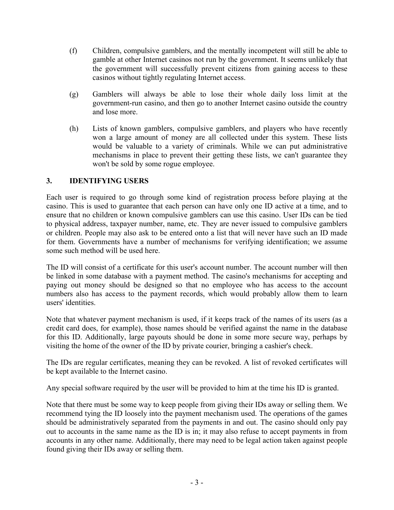- (f) Children, compulsive gamblers, and the mentally incompetent will still be able to gamble at other Internet casinos not run by the government. It seems unlikely that the government will successfully prevent citizens from gaining access to these casinos without tightly regulating Internet access.
- (g) Gamblers will always be able to lose their whole daily loss limit at the government-run casino, and then go to another Internet casino outside the country and lose more.
- (h) Lists of known gamblers, compulsive gamblers, and players who have recently won a large amount of money are all collected under this system. These lists would be valuable to a variety of criminals. While we can put administrative mechanisms in place to prevent their getting these lists, we can't guarantee they won't be sold by some rogue employee.

## **3. IDENTIFYING USERS**

Each user is required to go through some kind of registration process before playing at the casino. This is used to guarantee that each person can have only one ID active at a time, and to ensure that no children or known compulsive gamblers can use this casino. User IDs can be tied to physical address, taxpayer number, name, etc. They are never issued to compulsive gamblers or children. People may also ask to be entered onto a list that will never have such an ID made for them. Governments have a number of mechanisms for verifying identification; we assume some such method will be used here.

The ID will consist of a certificate for this user's account number. The account number will then be linked in some database with a payment method. The casino's mechanisms for accepting and paying out money should be designed so that no employee who has access to the account numbers also has access to the payment records, which would probably allow them to learn users' identities.

Note that whatever payment mechanism is used, if it keeps track of the names of its users (as a credit card does, for example), those names should be verified against the name in the database for this ID. Additionally, large payouts should be done in some more secure way, perhaps by visiting the home of the owner of the ID by private courier, bringing a cashier's check.

The IDs are regular certificates, meaning they can be revoked. A list of revoked certificates will be kept available to the Internet casino.

Any special software required by the user will be provided to him at the time his ID is granted.

Note that there must be some way to keep people from giving their IDs away or selling them. We recommend tying the ID loosely into the payment mechanism used. The operations of the games should be administratively separated from the payments in and out. The casino should only pay out to accounts in the same name as the ID is in; it may also refuse to accept payments in from accounts in any other name. Additionally, there may need to be legal action taken against people found giving their IDs away or selling them.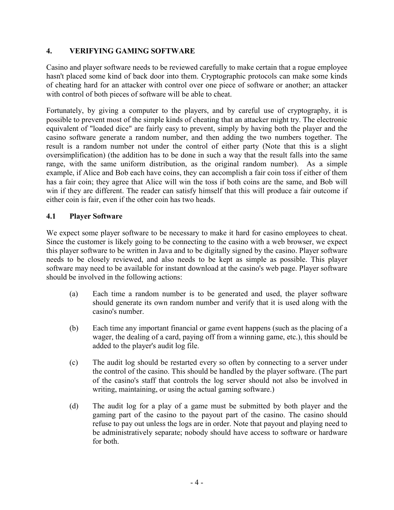## **4. VERIFYING GAMING SOFTWARE**

Casino and player software needs to be reviewed carefully to make certain that a rogue employee hasn't placed some kind of back door into them. Cryptographic protocols can make some kinds of cheating hard for an attacker with control over one piece of software or another; an attacker with control of both pieces of software will be able to cheat.

Fortunately, by giving a computer to the players, and by careful use of cryptography, it is possible to prevent most of the simple kinds of cheating that an attacker might try. The electronic equivalent of "loaded dice" are fairly easy to prevent, simply by having both the player and the casino software generate a random number, and then adding the two numbers together. The result is a random number not under the control of either party (Note that this is a slight oversimplification) (the addition has to be done in such a way that the result falls into the same range, with the same uniform distribution, as the original random number). As a simple example, if Alice and Bob each have coins, they can accomplish a fair coin toss if either of them has a fair coin; they agree that Alice will win the toss if both coins are the same, and Bob will win if they are different. The reader can satisfy himself that this will produce a fair outcome if either coin is fair, even if the other coin has two heads.

## **4.1 Player Software**

We expect some player software to be necessary to make it hard for casino employees to cheat. Since the customer is likely going to be connecting to the casino with a web browser, we expect this player software to be written in Java and to be digitally signed by the casino. Player software needs to be closely reviewed, and also needs to be kept as simple as possible. This player software may need to be available for instant download at the casino's web page. Player software should be involved in the following actions:

- (a) Each time a random number is to be generated and used, the player software should generate its own random number and verify that it is used along with the casino's number.
- (b) Each time any important financial or game event happens (such as the placing of a wager, the dealing of a card, paying off from a winning game, etc.), this should be added to the player's audit log file.
- (c) The audit log should be restarted every so often by connecting to a server under the control of the casino. This should be handled by the player software. (The part of the casino's staff that controls the log server should not also be involved in writing, maintaining, or using the actual gaming software.)
- (d) The audit log for a play of a game must be submitted by both player and the gaming part of the casino to the payout part of the casino. The casino should refuse to pay out unless the logs are in order. Note that payout and playing need to be administratively separate; nobody should have access to software or hardware for both.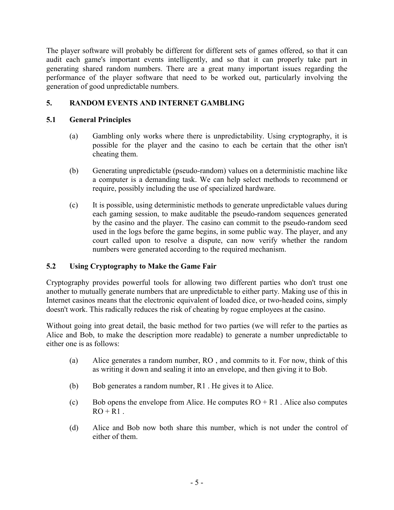The player software will probably be different for different sets of games offered, so that it can audit each game's important events intelligently, and so that it can properly take part in generating shared random numbers. There are a great many important issues regarding the performance of the player software that need to be worked out, particularly involving the generation of good unpredictable numbers.

# **5. RANDOM EVENTS AND INTERNET GAMBLING**

# **5.1 General Principles**

- (a) Gambling only works where there is unpredictability. Using cryptography, it is possible for the player and the casino to each be certain that the other isn't cheating them.
- (b) Generating unpredictable (pseudo-random) values on a deterministic machine like a computer is a demanding task. We can help select methods to recommend or require, possibly including the use of specialized hardware.
- (c) It is possible, using deterministic methods to generate unpredictable values during each gaming session, to make auditable the pseudo-random sequences generated by the casino and the player. The casino can commit to the pseudo-random seed used in the logs before the game begins, in some public way. The player, and any court called upon to resolve a dispute, can now verify whether the random numbers were generated according to the required mechanism.

# **5.2 Using Cryptography to Make the Game Fair**

Cryptography provides powerful tools for allowing two different parties who don't trust one another to mutually generate numbers that are unpredictable to either party. Making use of this in Internet casinos means that the electronic equivalent of loaded dice, or two-headed coins, simply doesn't work. This radically reduces the risk of cheating by rogue employees at the casino.

Without going into great detail, the basic method for two parties (we will refer to the parties as Alice and Bob, to make the description more readable) to generate a number unpredictable to either one is as follows:

- (a) Alice generates a random number, RO , and commits to it. For now, think of this as writing it down and sealing it into an envelope, and then giving it to Bob.
- (b) Bob generates a random number, R1 . He gives it to Alice.
- (c) Bob opens the envelope from Alice. He computes  $RO + R1$ . Alice also computes  $RO + R1$ .
- (d) Alice and Bob now both share this number, which is not under the control of either of them.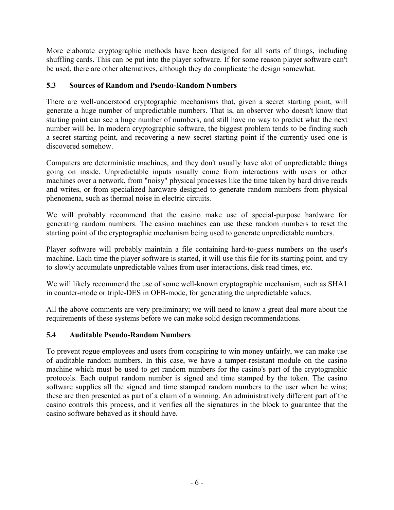More elaborate cryptographic methods have been designed for all sorts of things, including shuffling cards. This can be put into the player software. If for some reason player software can't be used, there are other alternatives, although they do complicate the design somewhat.

# **5.3 Sources of Random and Pseudo-Random Numbers**

There are well-understood cryptographic mechanisms that, given a secret starting point, will generate a huge number of unpredictable numbers. That is, an observer who doesn't know that starting point can see a huge number of numbers, and still have no way to predict what the next number will be. In modern cryptographic software, the biggest problem tends to be finding such a secret starting point, and recovering a new secret starting point if the currently used one is discovered somehow.

Computers are deterministic machines, and they don't usually have alot of unpredictable things going on inside. Unpredictable inputs usually come from interactions with users or other machines over a network, from "noisy" physical processes like the time taken by hard drive reads and writes, or from specialized hardware designed to generate random numbers from physical phenomena, such as thermal noise in electric circuits.

We will probably recommend that the casino make use of special-purpose hardware for generating random numbers. The casino machines can use these random numbers to reset the starting point of the cryptographic mechanism being used to generate unpredictable numbers.

Player software will probably maintain a file containing hard-to-guess numbers on the user's machine. Each time the player software is started, it will use this file for its starting point, and try to slowly accumulate unpredictable values from user interactions, disk read times, etc.

We will likely recommend the use of some well-known cryptographic mechanism, such as SHA1 in counter-mode or triple-DES in OFB-mode, for generating the unpredictable values.

All the above comments are very preliminary; we will need to know a great deal more about the requirements of these systems before we can make solid design recommendations.

# **5.4 Auditable Pseudo-Random Numbers**

To prevent rogue employees and users from conspiring to win money unfairly, we can make use of auditable random numbers. In this case, we have a tamper-resistant module on the casino machine which must be used to get random numbers for the casino's part of the cryptographic protocols. Each output random number is signed and time stamped by the token. The casino software supplies all the signed and time stamped random numbers to the user when he wins; these are then presented as part of a claim of a winning. An administratively different part of the casino controls this process, and it verifies all the signatures in the block to guarantee that the casino software behaved as it should have.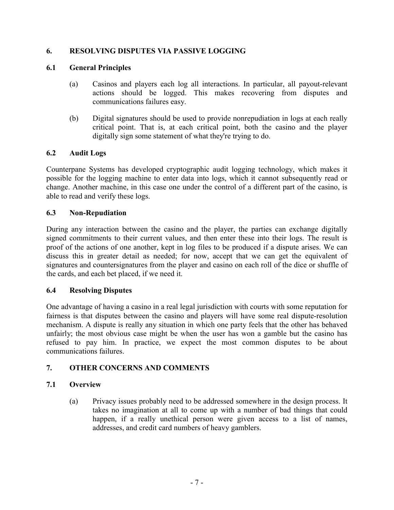## **6. RESOLVING DISPUTES VIA PASSIVE LOGGING**

## **6.1 General Principles**

- (a) Casinos and players each log all interactions. In particular, all payout-relevant actions should be logged. This makes recovering from disputes and communications failures easy.
- (b) Digital signatures should be used to provide nonrepudiation in logs at each really critical point. That is, at each critical point, both the casino and the player digitally sign some statement of what they're trying to do.

### **6.2 Audit Logs**

Counterpane Systems has developed cryptographic audit logging technology, which makes it possible for the logging machine to enter data into logs, which it cannot subsequently read or change. Another machine, in this case one under the control of a different part of the casino, is able to read and verify these logs.

### **6.3 Non-Repudiation**

During any interaction between the casino and the player, the parties can exchange digitally signed commitments to their current values, and then enter these into their logs. The result is proof of the actions of one another, kept in log files to be produced if a dispute arises. We can discuss this in greater detail as needed; for now, accept that we can get the equivalent of signatures and countersignatures from the player and casino on each roll of the dice or shuffle of the cards, and each bet placed, if we need it.

### **6.4 Resolving Disputes**

One advantage of having a casino in a real legal jurisdiction with courts with some reputation for fairness is that disputes between the casino and players will have some real dispute-resolution mechanism. A dispute is really any situation in which one party feels that the other has behaved unfairly; the most obvious case might be when the user has won a gamble but the casino has refused to pay him. In practice, we expect the most common disputes to be about communications failures.

### **7. OTHER CONCERNS AND COMMENTS**

### **7.1 Overview**

(a) Privacy issues probably need to be addressed somewhere in the design process. It takes no imagination at all to come up with a number of bad things that could happen, if a really unethical person were given access to a list of names, addresses, and credit card numbers of heavy gamblers.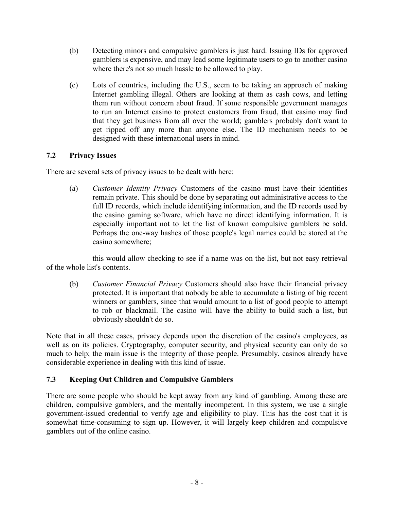- (b) Detecting minors and compulsive gamblers is just hard. Issuing IDs for approved gamblers is expensive, and may lead some legitimate users to go to another casino where there's not so much hassle to be allowed to play.
- (c) Lots of countries, including the U.S., seem to be taking an approach of making Internet gambling illegal. Others are looking at them as cash cows, and letting them run without concern about fraud. If some responsible government manages to run an Internet casino to protect customers from fraud, that casino may find that they get business from all over the world; gamblers probably don't want to get ripped off any more than anyone else. The ID mechanism needs to be designed with these international users in mind.

### **7.2 Privacy Issues**

There are several sets of privacy issues to be dealt with here:

(a) *Customer Identity Privacy* Customers of the casino must have their identities remain private. This should be done by separating out administrative access to the full ID records, which include identifying information, and the ID records used by the casino gaming software, which have no direct identifying information. It is especially important not to let the list of known compulsive gamblers be sold. Perhaps the one-way hashes of those people's legal names could be stored at the casino somewhere;

this would allow checking to see if a name was on the list, but not easy retrieval of the whole list's contents.

(b) *Customer Financial Privacy* Customers should also have their financial privacy protected. It is important that nobody be able to accumulate a listing of big recent winners or gamblers, since that would amount to a list of good people to attempt to rob or blackmail. The casino will have the ability to build such a list, but obviously shouldn't do so.

Note that in all these cases, privacy depends upon the discretion of the casino's employees, as well as on its policies. Cryptography, computer security, and physical security can only do so much to help; the main issue is the integrity of those people. Presumably, casinos already have considerable experience in dealing with this kind of issue.

# **7.3 Keeping Out Children and Compulsive Gamblers**

There are some people who should be kept away from any kind of gambling. Among these are children, compulsive gamblers, and the mentally incompetent. In this system, we use a single government-issued credential to verify age and eligibility to play. This has the cost that it is somewhat time-consuming to sign up. However, it will largely keep children and compulsive gamblers out of the online casino.